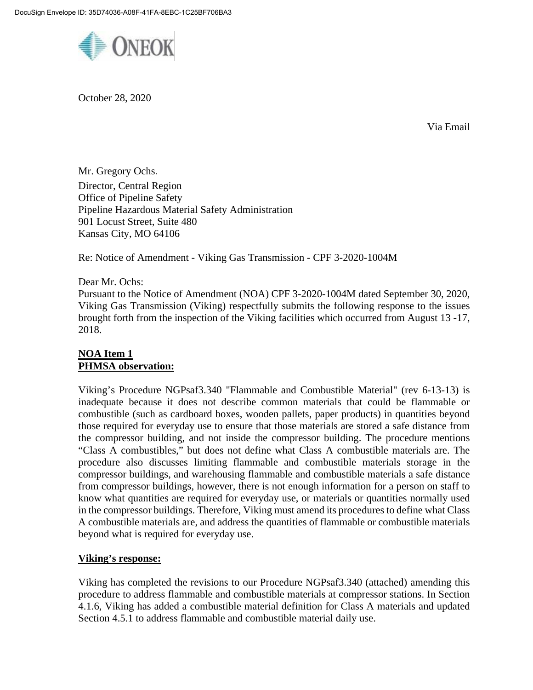

October 28, 2020

Via Email

Mr. Gregory Ochs. Director, Central Region Office of Pipeline Safety Pipeline Hazardous Material Safety Administration 901 Locust Street, Suite 480 Kansas City, MO 64106

Re: Notice of Amendment - Viking Gas Transmission - CPF 3-2020-1004M

## Dear Mr. Ochs:

Pursuant to the Notice of Amendment (NOA) CPF 3-2020-1004M dated September 30, 2020, Viking Gas Transmission (Viking) respectfully submits the following response to the issues brought forth from the inspection of the Viking facilities which occurred from August 13 -17, 2018.

## **NOA Item 1 PHMSA observation:**

Viking's Procedure NGPsaf3.340 "Flammable and Combustible Material" (rev 6-13-13) is inadequate because it does not describe common materials that could be flammable or combustible (such as cardboard boxes, wooden pallets, paper products) in quantities beyond those required for everyday use to ensure that those materials are stored a safe distance from the compressor building, and not inside the compressor building. The procedure mentions "Class A combustibles," but does not define what Class A combustible materials are. The procedure also discusses limiting flammable and combustible materials storage in the compressor buildings, and warehousing flammable and combustible materials a safe distance from compressor buildings, however, there is not enough information for a person on staff to know what quantities are required for everyday use, or materials or quantities normally used in the compressor buildings. Therefore, Viking must amend its procedures to define what Class A combustible materials are, and address the quantities of flammable or combustible materials beyond what is required for everyday use.

## **Viking's response:**

Viking has completed the revisions to our Procedure NGPsaf3.340 (attached) amending this procedure to address flammable and combustible materials at compressor stations. In Section 4.1.6, Viking has added a combustible material definition for Class A materials and updated Section 4.5.1 to address flammable and combustible material daily use.